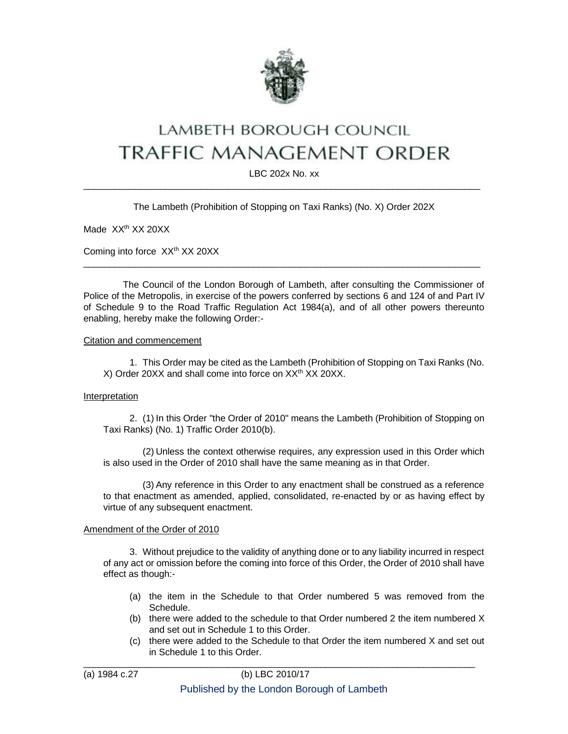

# LAMBETH BOROUGH COUNCIL **TRAFFIC MANAGEMENT ORDER**

LBC 202x No. xx \_\_\_\_\_\_\_\_\_\_\_\_\_\_\_\_\_\_\_\_\_\_\_\_\_\_\_\_\_\_\_\_\_\_\_\_\_\_\_\_\_\_\_\_\_\_\_\_\_\_\_\_\_\_\_\_\_\_\_\_\_\_\_\_\_\_\_\_\_\_\_\_\_\_\_\_\_

The Lambeth (Prohibition of Stopping on Taxi Ranks) (No. X) Order 202X

Made XX<sup>th</sup> XX 20XX

Coming into force XX<sup>th</sup> XX 20XX

The Council of the London Borough of Lambeth, after consulting the Commissioner of Police of the Metropolis, in exercise of the powers conferred by sections 6 and 124 of and Part IV of Schedule 9 to the Road Traffic Regulation Act 1984(a), and of all other powers thereunto enabling, hereby make the following Order:-

 $\_$  ,  $\_$  ,  $\_$  ,  $\_$  ,  $\_$  ,  $\_$  ,  $\_$  ,  $\_$  ,  $\_$  ,  $\_$  ,  $\_$  ,  $\_$  ,  $\_$  ,  $\_$  ,  $\_$  ,  $\_$  ,  $\_$  ,  $\_$  ,  $\_$  ,  $\_$  ,  $\_$  ,  $\_$  ,  $\_$  ,  $\_$  ,  $\_$  ,  $\_$  ,  $\_$  ,  $\_$  ,  $\_$  ,  $\_$  ,  $\_$  ,  $\_$  ,  $\_$  ,  $\_$  ,  $\_$  ,  $\_$  ,  $\_$  ,

#### Citation and commencement

1. This Order may be cited as the Lambeth (Prohibition of Stopping on Taxi Ranks (No. X) Order 20XX and shall come into force on XX<sup>th</sup> XX 20XX.

#### Interpretation

2. (1) In this Order "the Order of 2010" means the Lambeth (Prohibition of Stopping on Taxi Ranks) (No. 1) Traffic Order 2010(b).

(2) Unless the context otherwise requires, any expression used in this Order which is also used in the Order of 2010 shall have the same meaning as in that Order.

(3) Any reference in this Order to any enactment shall be construed as a reference to that enactment as amended, applied, consolidated, re-enacted by or as having effect by virtue of any subsequent enactment.

#### Amendment of the Order of 2010

3. Without prejudice to the validity of anything done or to any liability incurred in respect of any act or omission before the coming into force of this Order, the Order of 2010 shall have effect as though:-

- (a) the item in the Schedule to that Order numbered 5 was removed from the Schedule.
- (b) there were added to the schedule to that Order numbered 2 the item numbered X and set out in Schedule 1 to this Order.
- (c) there were added to the Schedule to that Order the item numbered X and set out in Schedule 1 to this Order.

 $\_$  ,  $\_$  ,  $\_$  ,  $\_$  ,  $\_$  ,  $\_$  ,  $\_$  ,  $\_$  ,  $\_$  ,  $\_$  ,  $\_$  ,  $\_$  ,  $\_$  ,  $\_$  ,  $\_$  ,  $\_$  ,  $\_$  ,  $\_$  ,  $\_$  ,  $\_$  ,  $\_$  ,  $\_$  ,  $\_$  ,  $\_$  ,  $\_$  ,  $\_$  ,  $\_$  ,  $\_$  ,  $\_$  ,  $\_$  ,  $\_$  ,  $\_$  ,  $\_$  ,  $\_$  ,  $\_$  ,  $\_$  ,  $\_$  ,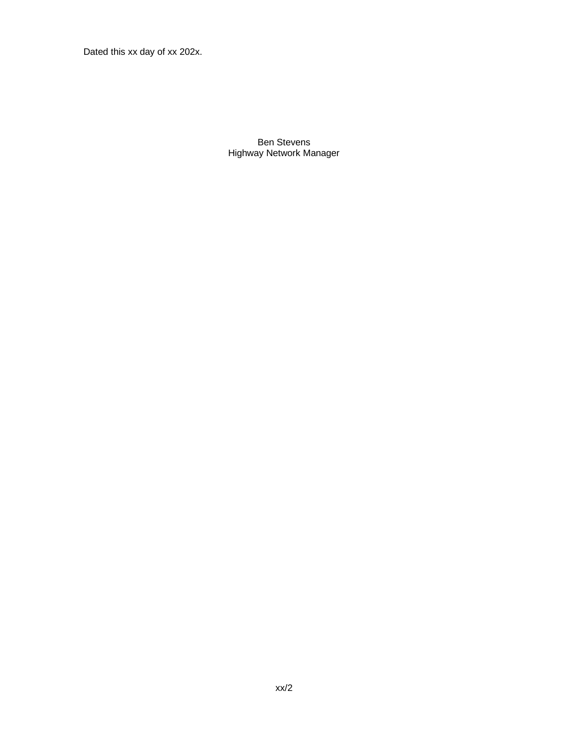Dated this xx day of xx 202x.

Ben Stevens Highway Network Manager